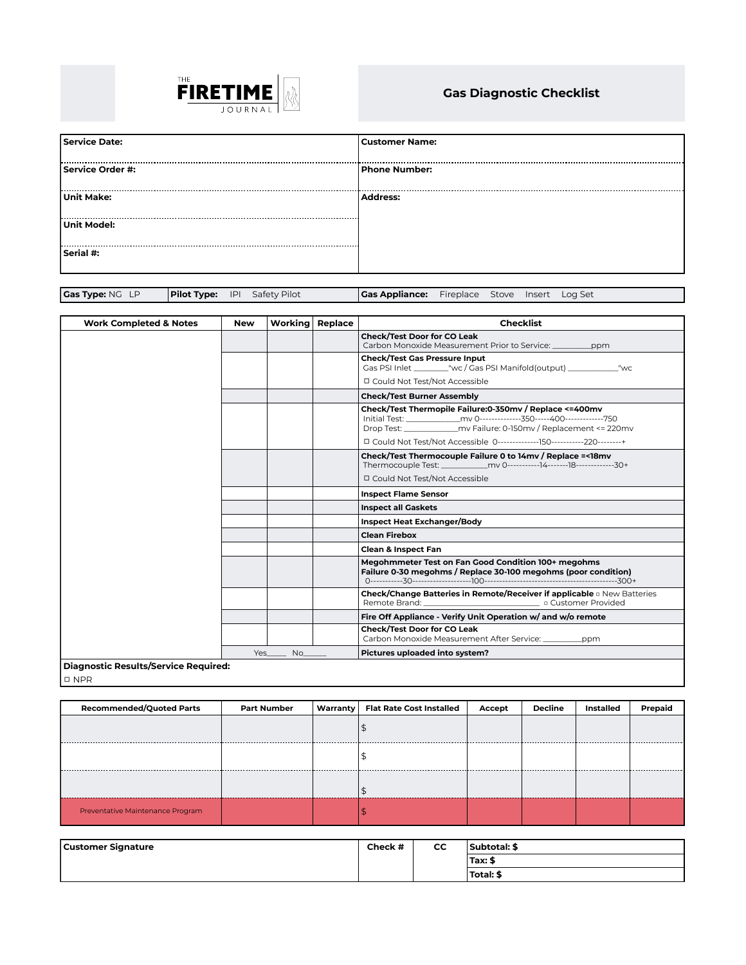

## **Gas Diagnostic Checklist**

| Service Date:    | <b>Customer Name:</b> |
|------------------|-----------------------|
| Service Order #: | <b>Phone Number:</b>  |
| Unit Make:       | Address:              |
| Unit Model:      |                       |
| Serial #:        |                       |

|  | Gas Type: NG LP | <b>Pilot Type:</b> IPI Safety Pilot |  | <b>Gas Appliance:</b> Fireplace Stove Insert Log Set |  |  |  |  |
|--|-----------------|-------------------------------------|--|------------------------------------------------------|--|--|--|--|
|--|-----------------|-------------------------------------|--|------------------------------------------------------|--|--|--|--|

| <b>Work Completed &amp; Notes</b>    | <b>New</b> | Workina l | Replace | <b>Checklist</b>                                                                                                                            |
|--------------------------------------|------------|-----------|---------|---------------------------------------------------------------------------------------------------------------------------------------------|
|                                      |            |           |         | <b>Check/Test Door for CO Leak</b><br>Carbon Monoxide Measurement Prior to Service:<br>_ppm                                                 |
|                                      |            |           |         | <b>Check/Test Gas Pressure Input</b><br>Gas PSI Inlet ___________"wc / Gas PSI Manifold(output) ________________"wc                         |
|                                      |            |           |         | □ Could Not Test/Not Accessible                                                                                                             |
|                                      |            |           |         | <b>Check/Test Burner Assembly</b>                                                                                                           |
|                                      |            |           |         | Check/Test Thermopile Failure:0-350mv / Replace <= 400mv<br>Drop Test: _______________ mv Failure: 0-150mv / Replacement <= 220mv           |
|                                      |            |           |         |                                                                                                                                             |
|                                      |            |           |         | Check/Test Thermocouple Failure 0 to 14mv / Replace =< 18mv<br>Thermocouple Test: ____________mv 0-----------14--------18---------------30+ |
|                                      |            |           |         | □ Could Not Test/Not Accessible                                                                                                             |
|                                      |            |           |         | <b>Inspect Flame Sensor</b>                                                                                                                 |
|                                      |            |           |         | <b>Inspect all Gaskets</b>                                                                                                                  |
|                                      |            |           |         | <b>Inspect Heat Exchanger/Body</b>                                                                                                          |
|                                      |            |           |         | <b>Clean Firebox</b>                                                                                                                        |
|                                      |            |           |         | <b>Clean &amp; Inspect Fan</b>                                                                                                              |
|                                      |            |           |         | Megohmmeter Test on Fan Good Condition 100+ megohms<br>Failure 0-30 megohms / Replace 30-100 megohms (poor condition)                       |
|                                      |            |           |         | Check/Change Batteries in Remote/Receiver if applicable a New Batteries<br>Remote Brand: The Customer Provided                              |
|                                      |            |           |         | Fire Off Appliance - Verify Unit Operation w/ and w/o remote                                                                                |
|                                      |            |           |         | <b>Check/Test Door for CO Leak</b><br>Carbon Monoxide Measurement After Service:<br>ppm                                                     |
|                                      | Yes        | No.       |         | Pictures uploaded into system?                                                                                                              |
| Diagnostic Results/Service Required: |            |           |         |                                                                                                                                             |

□ NPR

| <b>Recommended/Quoted Parts</b>  | <b>Part Number</b> | Warranty | <b>Flat Rate Cost Installed</b> | Accept | Decline | Installed | Prepaid |
|----------------------------------|--------------------|----------|---------------------------------|--------|---------|-----------|---------|
|                                  |                    |          |                                 |        |         |           |         |
| .                                |                    |          |                                 |        |         |           |         |
| .                                |                    |          |                                 |        |         |           |         |
| Preventative Maintenance Program |                    |          |                                 |        |         |           |         |

| <b>Customer Signature</b> | Check # | CC | <b>Subtotal: \$</b> |
|---------------------------|---------|----|---------------------|
|                           |         |    | 'Tax: \$            |
|                           |         |    | Total: \$           |